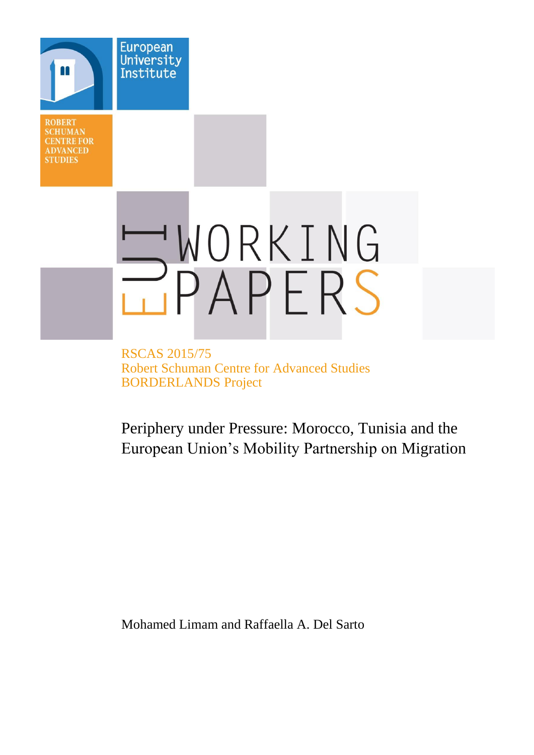**ROBERT SCHUMAN CENTRE FOR ADVANCED STUDIES** 

**European** University Institute

# WORKING

RSCAS 2015/75 Robert Schuman Centre for Advanced Studies BORDERLANDS Project

Periphery under Pressure: Morocco, Tunisia and the European Union's Mobility Partnership on Migration

Mohamed Limam and Raffaella A. Del Sarto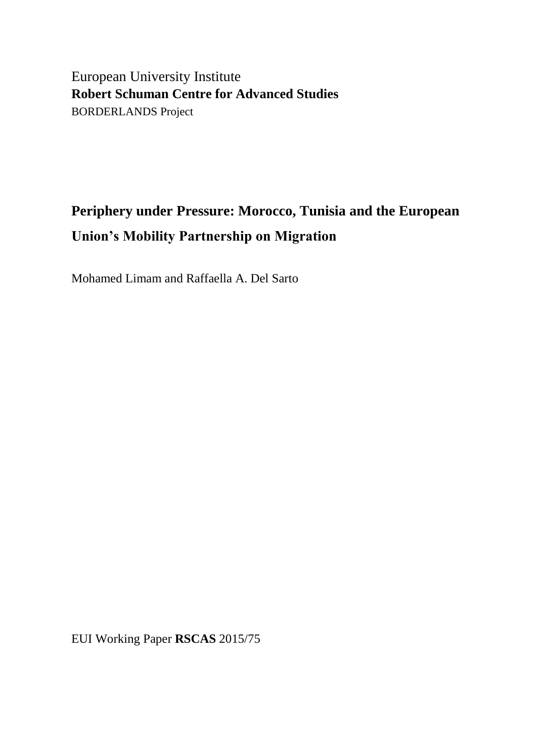European University Institute **Robert Schuman Centre for Advanced Studies** BORDERLANDS Project

# **Periphery under Pressure: Morocco, Tunisia and the European Union's Mobility Partnership on Migration**

Mohamed Limam and Raffaella A. Del Sarto

EUI Working Paper **RSCAS** 2015/75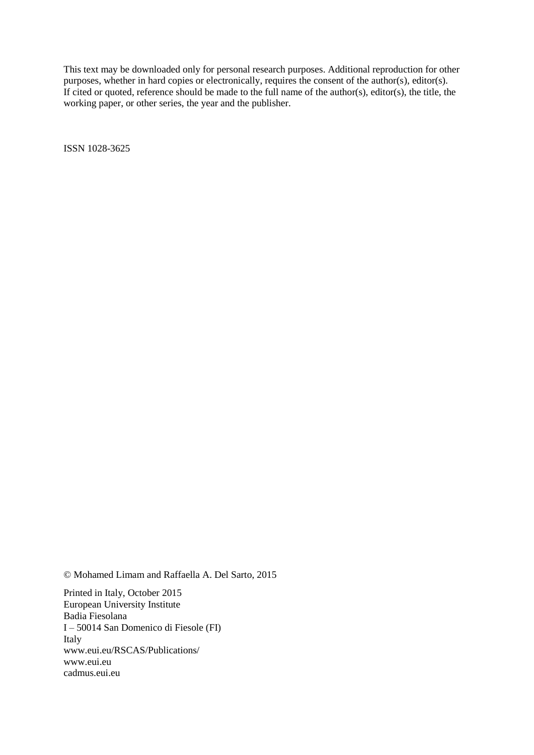This text may be downloaded only for personal research purposes. Additional reproduction for other purposes, whether in hard copies or electronically, requires the consent of the author(s), editor(s). If cited or quoted, reference should be made to the full name of the author(s), editor(s), the title, the working paper, or other series, the year and the publisher.

ISSN 1028-3625

© Mohamed Limam and Raffaella A. Del Sarto, 2015

Printed in Italy, October 2015 European University Institute Badia Fiesolana I – 50014 San Domenico di Fiesole (FI) Italy [www.eui.eu/RSCAS/Publications/](http://www.eui.eu/RSCAS/Publications/) [www.eui.eu](http://www.eui.eu/) [cadmus.eui.eu](http://cadmus.eui.eu/dspace/index.jsp)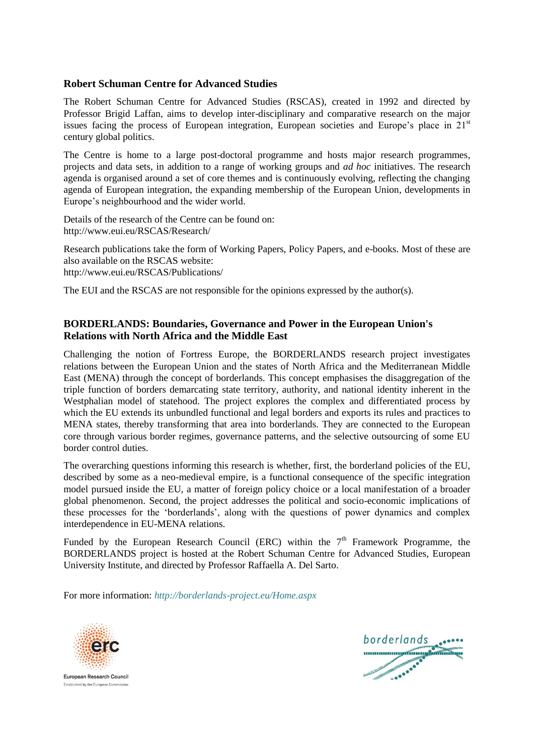## **Robert Schuman Centre for Advanced Studies**

The Robert Schuman Centre for Advanced Studies (RSCAS), created in 1992 and directed by Professor Brigid Laffan, aims to develop inter-disciplinary and comparative research on the major issues facing the process of European integration, European societies and Europe's place in 21<sup>st</sup> century global politics.

The Centre is home to a large post-doctoral programme and hosts major research programmes, projects and data sets, in addition to a range of working groups and *ad hoc* initiatives. The research agenda is organised around a set of core themes and is continuously evolving, reflecting the changing agenda of European integration, the expanding membership of the European Union, developments in Europe's neighbourhood and the wider world.

Details of the research of the Centre can be found on: <http://www.eui.eu/RSCAS/Research/>

Research publications take the form of Working Papers, Policy Papers, and e-books. Most of these are also available on the RSCAS website: <http://www.eui.eu/RSCAS/Publications/>

The EUI and the RSCAS are not responsible for the opinions expressed by the author(s).

# **BORDERLANDS: Boundaries, Governance and Power in the European Union's Relations with North Africa and the Middle East**

Challenging the notion of Fortress Europe, the BORDERLANDS research project investigates relations between the European Union and the states of North Africa and the Mediterranean Middle East (MENA) through the concept of borderlands. This concept emphasises the disaggregation of the triple function of borders demarcating state territory, authority, and national identity inherent in the Westphalian model of statehood. The project explores the complex and differentiated process by which the EU extends its unbundled functional and legal borders and exports its rules and practices to MENA states, thereby transforming that area into borderlands. They are connected to the European core through various border regimes, governance patterns, and the selective outsourcing of some EU border control duties.

The overarching questions informing this research is whether, first, the borderland policies of the EU, described by some as a neo-medieval empire, is a functional consequence of the specific integration model pursued inside the EU, a matter of foreign policy choice or a local manifestation of a broader global phenomenon. Second, the project addresses the political and socio-economic implications of these processes for the 'borderlands', along with the questions of power dynamics and complex interdependence in EU-MENA relations.

Funded by the European Research Council (ERC) within the  $7<sup>th</sup>$  Framework Programme, the BORDERLANDS project is hosted at the Robert Schuman Centre for Advanced Studies, European University Institute, and directed by Professor [Raffaella A. Del Sarto.](http://www.eui.eu/DepartmentsAndCentres/RobertSchumanCentre/People/AcademicStaff/DelSarto.aspx)

For more information: *<http://borderlands-project.eu/Home.aspx>*



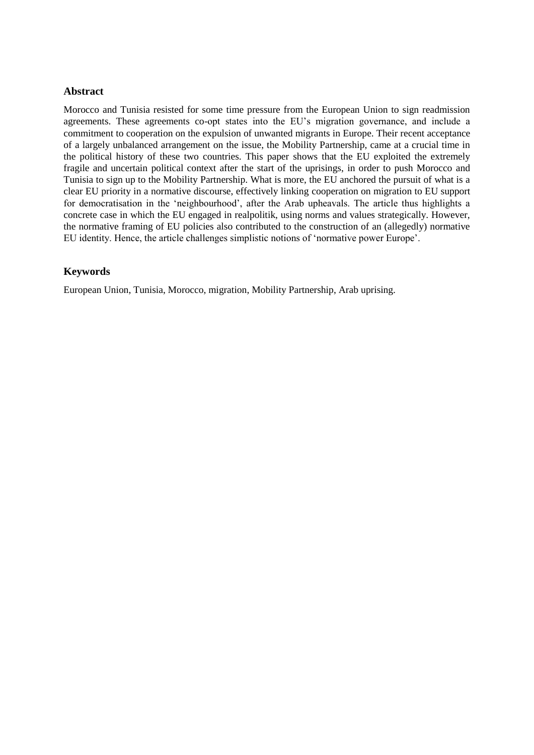#### **Abstract**

Morocco and Tunisia resisted for some time pressure from the European Union to sign readmission agreements. These agreements co-opt states into the EU's migration governance, and include a commitment to cooperation on the expulsion of unwanted migrants in Europe. Their recent acceptance of a largely unbalanced arrangement on the issue, the Mobility Partnership, came at a crucial time in the political history of these two countries. This paper shows that the EU exploited the extremely fragile and uncertain political context after the start of the uprisings, in order to push Morocco and Tunisia to sign up to the Mobility Partnership. What is more, the EU anchored the pursuit of what is a clear EU priority in a normative discourse, effectively linking cooperation on migration to EU support for democratisation in the 'neighbourhood', after the Arab upheavals. The article thus highlights a concrete case in which the EU engaged in realpolitik, using norms and values strategically. However, the normative framing of EU policies also contributed to the construction of an (allegedly) normative EU identity. Hence, the article challenges simplistic notions of 'normative power Europe'.

# **Keywords**

European Union, Tunisia, Morocco, migration, Mobility Partnership, Arab uprising.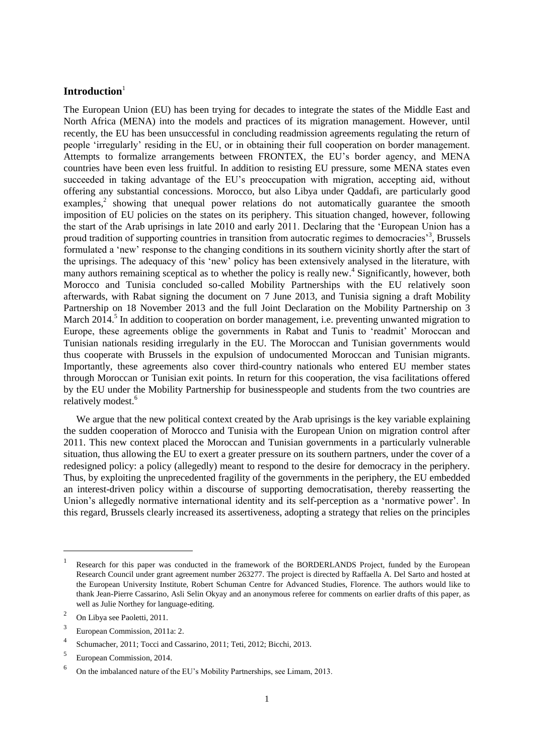#### **Introduction**<sup>1</sup>

The European Union (EU) has been trying for decades to integrate the states of the Middle East and North Africa (MENA) into the models and practices of its migration management. However, until recently, the EU has been unsuccessful in concluding readmission agreements regulating the return of people 'irregularly' residing in the EU, or in obtaining their full cooperation on border management. Attempts to formalize arrangements between FRONTEX, the EU's border agency, and MENA countries have been even less fruitful. In addition to resisting EU pressure, some MENA states even succeeded in taking advantage of the EU's preoccupation with migration, accepting aid, without offering any substantial concessions. Morocco, but also Libya under Qaddafi, are particularly good examples,<sup>2</sup> showing that unequal power relations do not automatically guarantee the smooth imposition of EU policies on the states on its periphery. This situation changed, however, following the start of the Arab uprisings in late 2010 and early 2011. Declaring that the 'European Union has a proud tradition of supporting countries in transition from autocratic regimes to democracies<sup>3</sup>, Brussels formulated a 'new' response to the changing conditions in its southern vicinity shortly after the start of the uprisings. The adequacy of this 'new' policy has been extensively analysed in the literature, with many authors remaining sceptical as to whether the policy is really new.<sup>4</sup> Significantly, however, both Morocco and Tunisia concluded so-called Mobility Partnerships with the EU relatively soon afterwards, with Rabat signing the document on 7 June 2013, and Tunisia signing a draft Mobility Partnership on 18 November 2013 and the full Joint Declaration on the Mobility Partnership on 3 March 2014.<sup>5</sup> In addition to cooperation on border management, i.e. preventing unwanted migration to Europe, these agreements oblige the governments in Rabat and Tunis to 'readmit' Moroccan and Tunisian nationals residing irregularly in the EU. The Moroccan and Tunisian governments would thus cooperate with Brussels in the expulsion of undocumented Moroccan and Tunisian migrants. Importantly, these agreements also cover third-country nationals who entered EU member states through Moroccan or Tunisian exit points. In return for this cooperation, the visa facilitations offered by the EU under the Mobility Partnership for businesspeople and students from the two countries are relatively modest.<sup>6</sup>

We argue that the new political context created by the Arab uprisings is the key variable explaining the sudden cooperation of Morocco and Tunisia with the European Union on migration control after 2011. This new context placed the Moroccan and Tunisian governments in a particularly vulnerable situation, thus allowing the EU to exert a greater pressure on its southern partners, under the cover of a redesigned policy: a policy (allegedly) meant to respond to the desire for democracy in the periphery. Thus, by exploiting the unprecedented fragility of the governments in the periphery, the EU embedded an interest-driven policy within a discourse of supporting democratisation, thereby reasserting the Union's allegedly normative international identity and its self-perception as a 'normative power'. In this regard, Brussels clearly increased its assertiveness, adopting a strategy that relies on the principles

 $\overline{a}$ 

<sup>1</sup> Research for this paper was conducted in the framework of the BORDERLANDS Project, funded by the European Research Council under grant agreement number 263277. The project is directed by Raffaella A. Del Sarto and hosted at the European University Institute, Robert Schuman Centre for Advanced Studies, Florence. The authors would like to thank Jean-Pierre Cassarino, Asli Selin Okyay and an anonymous referee for comments on earlier drafts of this paper, as well as Julie Northey for language-editing.

<sup>2</sup> On Libya see Paoletti, 2011.

<sup>3</sup> European Commission, 2011a: 2.

<sup>4</sup> Schumacher, 2011; Tocci and Cassarino, 2011; Teti, 2012; Bicchi, 2013.

<sup>5</sup> European Commission, 2014.

<sup>6</sup> On the imbalanced nature of the EU's Mobility Partnerships, see Limam, 2013.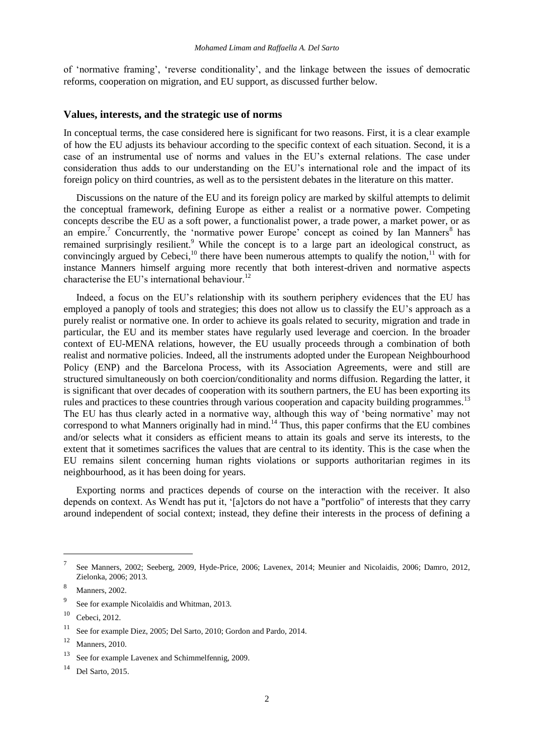of 'normative framing', 'reverse conditionality', and the linkage between the issues of democratic reforms, cooperation on migration, and EU support, as discussed further below.

#### **Values, interests, and the strategic use of norms**

In conceptual terms, the case considered here is significant for two reasons. First, it is a clear example of how the EU adjusts its behaviour according to the specific context of each situation. Second, it is a case of an instrumental use of norms and values in the EU's external relations. The case under consideration thus adds to our understanding on the EU's international role and the impact of its foreign policy on third countries, as well as to the persistent debates in the literature on this matter.

Discussions on the nature of the EU and its foreign policy are marked by skilful attempts to delimit the conceptual framework, defining Europe as either a realist or a normative power. Competing concepts describe the EU as a soft power, a functionalist power, a trade power, a market power, or as an empire.<sup>7</sup> Concurrently, the 'normative power Europe' concept as coined by Ian Manners<sup>8</sup> has remained surprisingly resilient.<sup>9</sup> While the concept is to a large part an ideological construct, as convincingly argued by Cebeci,<sup>10</sup> there have been numerous attempts to qualify the notion,<sup>11</sup> with for instance Manners himself arguing more recently that both interest-driven and normative aspects characterise the EU's international behaviour.<sup>12</sup>

Indeed, a focus on the EU's relationship with its southern periphery evidences that the EU has employed a panoply of tools and strategies; this does not allow us to classify the EU's approach as a purely realist or normative one. In order to achieve its goals related to security, migration and trade in particular, the EU and its member states have regularly used leverage and coercion. In the broader context of EU-MENA relations, however, the EU usually proceeds through a combination of both realist and normative policies. Indeed, all the instruments adopted under the European Neighbourhood Policy (ENP) and the Barcelona Process, with its Association Agreements, were and still are structured simultaneously on both coercion/conditionality and norms diffusion. Regarding the latter, it is significant that over decades of cooperation with its southern partners, the EU has been exporting its rules and practices to these countries through various cooperation and capacity building programmes.<sup>13</sup> The EU has thus clearly acted in a normative way, although this way of 'being normative' may not correspond to what Manners originally had in mind.<sup>14</sup> Thus, this paper confirms that the EU combines and/or selects what it considers as efficient means to attain its goals and serve its interests, to the extent that it sometimes sacrifices the values that are central to its identity. This is the case when the EU remains silent concerning human rights violations or supports authoritarian regimes in its neighbourhood, as it has been doing for years.

Exporting norms and practices depends of course on the interaction with the receiver. It also depends on context. As Wendt has put it, '[a]ctors do not have a "portfolio" of interests that they carry around independent of social context; instead, they define their interests in the process of defining a

 $\overline{a}$ 

<sup>7</sup> See Manners, 2002; Seeberg, 2009, Hyde-Price, 2006; Lavenex, 2014; Meunier and Nicolaidis, 2006; Damro, 2012, Zielonka, 2006; 2013.

<sup>8</sup> Manners, 2002.

<sup>9</sup> See for example Nicolaïdis and Whitman, 2013.

 $10$  Cebeci, 2012.

<sup>11</sup> See for example Diez, 2005; Del Sarto, 2010; Gordon and Pardo, 2014.

<sup>12</sup> Manners, 2010.

<sup>13</sup> See for example Lavenex and Schimmelfennig, 2009.

<sup>14</sup> Del Sarto, 2015.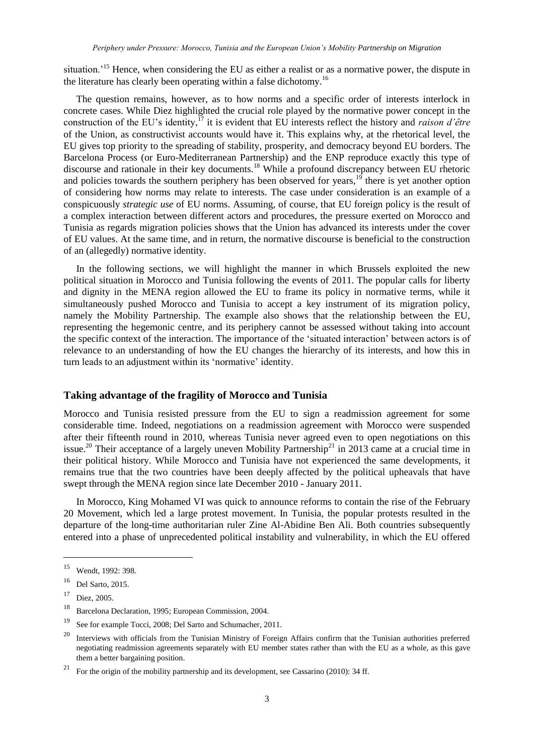situation.<sup>15</sup> Hence, when considering the EU as either a realist or as a normative power, the dispute in the literature has clearly been operating within a false dichotomy.<sup>16</sup>

The question remains, however, as to how norms and a specific order of interests interlock in concrete cases. While Diez highlighted the crucial role played by the normative power concept in the construction of the EU's identity,<sup>17</sup> it is evident that EU interests reflect the history and *raison d'être* of the Union, as constructivist accounts would have it. This explains why, at the rhetorical level, the EU gives top priority to the spreading of stability, prosperity, and democracy beyond EU borders. The Barcelona Process (or Euro-Mediterranean Partnership) and the ENP reproduce exactly this type of discourse and rationale in their key documents.<sup>18</sup> While a profound discrepancy between EU rhetoric and policies towards the southern periphery has been observed for years, $19$  there is yet another option of considering how norms may relate to interests. The case under consideration is an example of a conspicuously *strategic use* of EU norms. Assuming, of course, that EU foreign policy is the result of a complex interaction between different actors and procedures, the pressure exerted on Morocco and Tunisia as regards migration policies shows that the Union has advanced its interests under the cover of EU values. At the same time, and in return, the normative discourse is beneficial to the construction of an (allegedly) normative identity.

In the following sections, we will highlight the manner in which Brussels exploited the new political situation in Morocco and Tunisia following the events of 2011. The popular calls for liberty and dignity in the MENA region allowed the EU to frame its policy in normative terms, while it simultaneously pushed Morocco and Tunisia to accept a key instrument of its migration policy, namely the Mobility Partnership. The example also shows that the relationship between the EU, representing the hegemonic centre, and its periphery cannot be assessed without taking into account the specific context of the interaction. The importance of the 'situated interaction' between actors is of relevance to an understanding of how the EU changes the hierarchy of its interests, and how this in turn leads to an adjustment within its 'normative' identity.

#### **Taking advantage of the fragility of Morocco and Tunisia**

Morocco and Tunisia resisted pressure from the EU to sign a readmission agreement for some considerable time. Indeed, negotiations on a readmission agreement with Morocco were suspended after their fifteenth round in 2010, whereas Tunisia never agreed even to open negotiations on this issue.<sup>20</sup> Their acceptance of a largely uneven Mobility Partnership<sup>21</sup> in 2013 came at a crucial time in their political history. While Morocco and Tunisia have not experienced the same developments, it remains true that the two countries have been deeply affected by the political upheavals that have swept through the MENA region since late December 2010 - January 2011.

In Morocco, King Mohamed VI was quick to announce reforms to contain the rise of the February 20 Movement, which led a large protest movement. In Tunisia, the popular protests resulted in the departure of the long-time authoritarian ruler Zine Al-Abidine Ben Ali. Both countries subsequently entered into a phase of unprecedented political instability and vulnerability, in which the EU offered

l

<sup>15</sup> Wendt, 1992: 398.

<sup>16</sup> Del Sarto, 2015.

<sup>17</sup> Diez, 2005.

<sup>18</sup> Barcelona Declaration, 1995; European Commission, 2004.

<sup>19</sup> See for example Tocci, 2008; Del Sarto and Schumacher, 2011.

<sup>&</sup>lt;sup>20</sup> Interviews with officials from the Tunisian Ministry of Foreign Affairs confirm that the Tunisian authorities preferred negotiating readmission agreements separately with EU member states rather than with the EU as a whole, as this gave them a better bargaining position.

<sup>21</sup> For the origin of the mobility partnership and its development, see Cassarino (2010): 34 ff.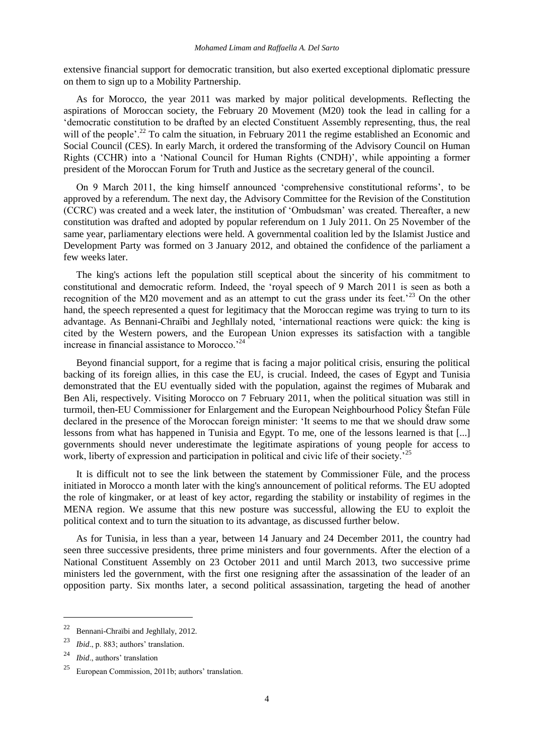extensive financial support for democratic transition, but also exerted exceptional diplomatic pressure on them to sign up to a Mobility Partnership.

As for Morocco, the year 2011 was marked by major political developments. Reflecting the aspirations of Moroccan society, the February 20 Movement (M20) took the lead in calling for a 'democratic constitution to be drafted by an elected Constituent Assembly representing, thus, the real will of the people'.<sup>22</sup> To calm the situation, in February 2011 the regime established an Economic and Social Council (CES). In early March, it ordered the transforming of the Advisory Council on Human Rights (CCHR) into a 'National Council for Human Rights (CNDH)', while appointing a former president of the Moroccan Forum for Truth and Justice as the secretary general of the council.

On 9 March 2011, the king himself announced 'comprehensive constitutional reforms', to be approved by a referendum. The next day, the Advisory Committee for the Revision of the Constitution (CCRC) was created and a week later, the institution of 'Ombudsman' was created. Thereafter, a new constitution was drafted and adopted by popular referendum on 1 July 2011. On 25 November of the same year, parliamentary elections were held. A governmental coalition led by the Islamist Justice and Development Party was formed on 3 January 2012, and obtained the confidence of the parliament a few weeks later.

The king's actions left the population still sceptical about the sincerity of his commitment to constitutional and democratic reform. Indeed, the 'royal speech of 9 March 2011 is seen as both a recognition of the M20 movement and as an attempt to cut the grass under its feet.<sup>23</sup> On the other hand, the speech represented a quest for legitimacy that the Moroccan regime was trying to turn to its advantage. As Bennani-Chraïbi and Jeghllaly noted, 'international reactions were quick: the king is cited by the Western powers, and the European Union expresses its satisfaction with a tangible increase in financial assistance to Morocco.'<sup>24</sup>

Beyond financial support, for a regime that is facing a major political crisis, ensuring the political backing of its foreign allies, in this case the EU, is crucial. Indeed, the cases of Egypt and Tunisia demonstrated that the EU eventually sided with the population, against the regimes of Mubarak and Ben Ali, respectively. Visiting Morocco on 7 February 2011, when the political situation was still in turmoil, then-EU Commissioner for Enlargement and the European Neighbourhood Policy Štefan Füle declared in the presence of the Moroccan foreign minister: 'It seems to me that we should draw some lessons from what has happened in Tunisia and Egypt. To me, one of the lessons learned is that [...] governments should never underestimate the legitimate aspirations of young people for access to work, liberty of expression and participation in political and civic life of their society.<sup>25</sup>

It is difficult not to see the link between the statement by Commissioner Füle, and the process initiated in Morocco a month later with the king's announcement of political reforms. The EU adopted the role of kingmaker, or at least of key actor, regarding the stability or instability of regimes in the MENA region. We assume that this new posture was successful, allowing the EU to exploit the political context and to turn the situation to its advantage, as discussed further below.

As for Tunisia, in less than a year, between 14 January and 24 December 2011, the country had seen three successive presidents, three prime ministers and four governments. After the election of a National Constituent Assembly on 23 October 2011 and until March 2013, two successive prime ministers led the government, with the first one resigning after the assassination of the leader of an opposition party. Six months later, a second political assassination, targeting the head of another

<sup>22</sup> Bennani-Chraïbi and Jeghllaly, 2012.

<sup>23</sup> *Ibid*., p. 883; authors' translation.

<sup>24</sup> *Ibid*., authors' translation

 $25$  European Commission, 2011b; authors' translation.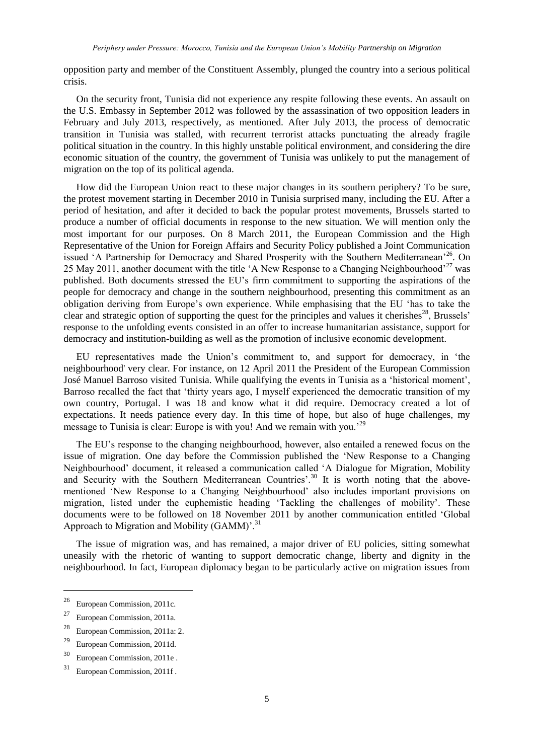opposition party and member of the Constituent Assembly, plunged the country into a serious political crisis.

On the security front, Tunisia did not experience any respite following these events. An assault on the U.S. Embassy in September 2012 was followed by the assassination of two opposition leaders in February and July 2013, respectively, as mentioned. After July 2013, the process of democratic transition in Tunisia was stalled, with recurrent terrorist attacks punctuating the already fragile political situation in the country. In this highly unstable political environment, and considering the dire economic situation of the country, the government of Tunisia was unlikely to put the management of migration on the top of its political agenda.

How did the European Union react to these major changes in its southern periphery? To be sure, the protest movement starting in December 2010 in Tunisia surprised many, including the EU. After a period of hesitation, and after it decided to back the popular protest movements, Brussels started to produce a number of official documents in response to the new situation. We will mention only the most important for our purposes. On 8 March 2011, the European Commission and the High Representative of the Union for Foreign Affairs and Security Policy published a Joint Communication issued 'A Partnership for Democracy and Shared Prosperity with the Southern Mediterranean<sup>'26</sup>. On 25 May 2011, another document with the title 'A New Response to a Changing Neighbourhood'<sup>27</sup> was published. Both documents stressed the EU's firm commitment to supporting the aspirations of the people for democracy and change in the southern neighbourhood, presenting this commitment as an obligation deriving from Europe's own experience. While emphasising that the EU 'has to take the clear and strategic option of supporting the quest for the principles and values it cherishes $^{28}$ , Brussels' response to the unfolding events consisted in an offer to increase humanitarian assistance, support for democracy and institution-building as well as the promotion of inclusive economic development.

EU representatives made the Union's commitment to, and support for democracy, in 'the neighbourhood' very clear. For instance, on 12 April 2011 the President of the European Commission José Manuel Barroso visited Tunisia. While qualifying the events in Tunisia as a 'historical moment', Barroso recalled the fact that 'thirty years ago, I myself experienced the democratic transition of my own country, Portugal. I was 18 and know what it did require. Democracy created a lot of expectations. It needs patience every day. In this time of hope, but also of huge challenges, my message to Tunisia is clear: Europe is with you! And we remain with you.<sup>29</sup>

The EU's response to the changing neighbourhood, however, also entailed a renewed focus on the issue of migration. One day before the Commission published the 'New Response to a Changing Neighbourhood' document, it released a communication called 'A Dialogue for Migration, Mobility and Security with the Southern Mediterranean Countries'.<sup>30</sup> It is worth noting that the abovementioned 'New Response to a Changing Neighbourhood' also includes important provisions on migration, listed under the euphemistic heading 'Tackling the challenges of mobility'. These documents were to be followed on 18 November 2011 by another communication entitled 'Global Approach to Migration and Mobility (GAMM)'.<sup>31</sup>

The issue of migration was, and has remained, a major driver of EU policies, sitting somewhat uneasily with the rhetoric of wanting to support democratic change, liberty and dignity in the neighbourhood. In fact, European diplomacy began to be particularly active on migration issues from

<sup>26</sup> European Commission, 2011c.

<sup>27</sup> European Commission, 2011a.

<sup>28</sup> European Commission, 2011a: 2.

<sup>29</sup> European Commission, 2011d.

<sup>30</sup> European Commission, 2011e .

<sup>31</sup> European Commission, 2011f .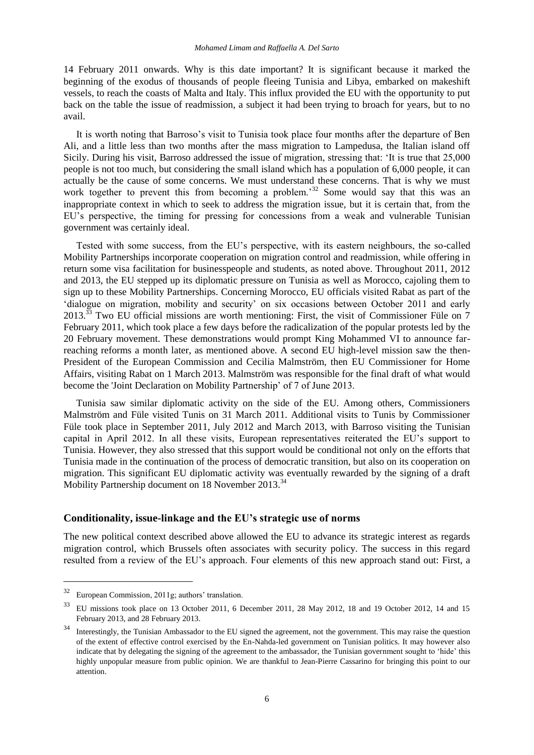14 February 2011 onwards. Why is this date important? It is significant because it marked the beginning of the exodus of thousands of people fleeing Tunisia and Libya, embarked on makeshift vessels, to reach the coasts of Malta and Italy. This influx provided the EU with the opportunity to put back on the table the issue of readmission, a subject it had been trying to broach for years, but to no avail.

It is worth noting that Barroso's visit to Tunisia took place four months after the departure of Ben Ali, and a little less than two months after the mass migration to Lampedusa, the Italian island off Sicily. During his visit, Barroso addressed the issue of migration, stressing that: 'It is true that 25,000 people is not too much, but considering the small island which has a population of 6,000 people, it can actually be the cause of some concerns. We must understand these concerns. That is why we must work together to prevent this from becoming a problem.<sup>32</sup> Some would say that this was an inappropriate context in which to seek to address the migration issue, but it is certain that, from the EU's perspective, the timing for pressing for concessions from a weak and vulnerable Tunisian government was certainly ideal.

Tested with some success, from the EU's perspective, with its eastern neighbours, the so-called Mobility Partnerships incorporate cooperation on migration control and readmission, while offering in return some visa facilitation for businesspeople and students, as noted above. Throughout 2011, 2012 and 2013, the EU stepped up its diplomatic pressure on Tunisia as well as Morocco, cajoling them to sign up to these Mobility Partnerships. Concerning Morocco, EU officials visited Rabat as part of the 'dialogue on migration, mobility and security' on six occasions between October 2011 and early 2013.<sup>33</sup> Two EU official missions are worth mentioning: First, the visit of Commissioner Füle on 7 February 2011, which took place a few days before the radicalization of the popular protests led by the 20 February movement. These demonstrations would prompt King Mohammed VI to announce farreaching reforms a month later, as mentioned above. A second EU high-level mission saw the then-President of the European Commission and Cecilia Malmström, then EU Commissioner for Home Affairs, visiting Rabat on 1 March 2013. Malmström was responsible for the final draft of what would become the 'Joint Declaration on Mobility Partnership' of 7 of June 2013.

Tunisia saw similar diplomatic activity on the side of the EU. Among others, Commissioners Malmström and Füle visited Tunis on 31 March 2011. Additional visits to Tunis by Commissioner Füle took place in September 2011, July 2012 and March 2013, with Barroso visiting the Tunisian capital in April 2012. In all these visits, European representatives reiterated the EU's support to Tunisia. However, they also stressed that this support would be conditional not only on the efforts that Tunisia made in the continuation of the process of democratic transition, but also on its cooperation on migration. This significant EU diplomatic activity was eventually rewarded by the signing of a draft Mobility Partnership document on 18 November 2013.<sup>34</sup>

#### **Conditionality, issue-linkage and the EU's strategic use of norms**

The new political context described above allowed the EU to advance its strategic interest as regards migration control, which Brussels often associates with security policy. The success in this regard resulted from a review of the EU's approach. Four elements of this new approach stand out: First, a

l

<sup>32</sup> European Commission, 2011g; authors' translation.

<sup>33</sup> EU missions took place on 13 October 2011, 6 December 2011, 28 May 2012, 18 and 19 October 2012, 14 and 15 February 2013, and 28 February 2013.

Interestingly, the Tunisian Ambassador to the EU signed the agreement, not the government. This may raise the question of the extent of effective control exercised by the En-Nahda-led government on Tunisian politics. It may however also indicate that by delegating the signing of the agreement to the ambassador, the Tunisian government sought to 'hide' this highly unpopular measure from public opinion. We are thankful to Jean-Pierre Cassarino for bringing this point to our attention.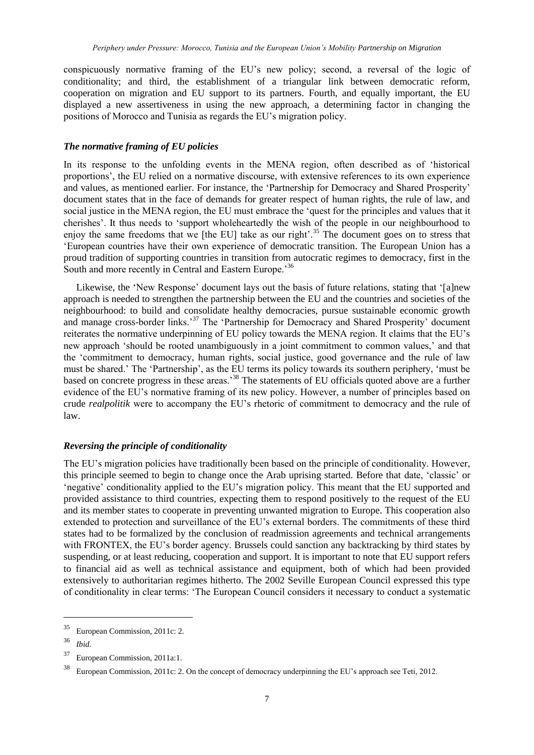conspicuously normative framing of the EU's new policy; second, a reversal of the logic of conditionality; and third, the establishment of a triangular link between democratic reform, cooperation on migration and EU support to its partners. Fourth, and equally important, the EU displayed a new assertiveness in using the new approach, a determining factor in changing the positions of Morocco and Tunisia as regards the EU's migration policy.

#### *The normative framing of EU policies*

In its response to the unfolding events in the MENA region, often described as of 'historical proportions', the EU relied on a normative discourse, with extensive references to its own experience and values, as mentioned earlier. For instance, the 'Partnership for Democracy and Shared Prosperity' document states that in the face of demands for greater respect of human rights, the rule of law, and social justice in the MENA region, the EU must embrace the 'quest for the principles and values that it cherishes'. It thus needs to 'support wholeheartedly the wish of the people in our neighbourhood to enjoy the same freedoms that we [the EU] take as our right'.<sup>35</sup> The document goes on to stress that 'European countries have their own experience of democratic transition. The European Union has a proud tradition of supporting countries in transition from autocratic regimes to democracy, first in the South and more recently in Central and Eastern Europe.<sup>36</sup>

Likewise, the 'New Response' document lays out the basis of future relations, stating that '[a]new approach is needed to strengthen the partnership between the EU and the countries and societies of the neighbourhood: to build and consolidate healthy democracies, pursue sustainable economic growth and manage cross-border links.<sup>37</sup> The 'Partnership for Democracy and Shared Prosperity' document reiterates the normative underpinning of EU policy towards the MENA region. It claims that the EU's new approach 'should be rooted unambiguously in a joint commitment to common values,' and that the 'commitment to democracy, human rights, social justice, good governance and the rule of law must be shared.' The 'Partnership', as the EU terms its policy towards its southern periphery, 'must be based on concrete progress in these areas.'<sup>38</sup> The statements of EU officials quoted above are a further evidence of the EU's normative framing of its new policy. However, a number of principles based on crude *realpolitik* were to accompany the EU's rhetoric of commitment to democracy and the rule of law.

#### *Reversing the principle of conditionality*

The EU's migration policies have traditionally been based on the principle of conditionality. However, this principle seemed to begin to change once the Arab uprising started. Before that date, 'classic' or 'negative' conditionality applied to the EU's migration policy. This meant that the EU supported and provided assistance to third countries, expecting them to respond positively to the request of the EU and its member states to cooperate in preventing unwanted migration to Europe. This cooperation also extended to protection and surveillance of the EU's external borders. The commitments of these third states had to be formalized by the conclusion of readmission agreements and technical arrangements with FRONTEX, the EU's border agency. Brussels could sanction any backtracking by third states by suspending, or at least reducing, cooperation and support. It is important to note that EU support refers to financial aid as well as technical assistance and equipment, both of which had been provided extensively to authoritarian regimes hitherto. The 2002 Seville European Council expressed this type of conditionality in clear terms: 'The European Council considers it necessary to conduct a systematic

<sup>35</sup> European Commission, 2011c: 2.

<sup>36</sup> *Ibid*.

<sup>37</sup> European Commission, 2011a:1.

<sup>38</sup> European Commission, 2011c: 2. On the concept of democracy underpinning the EU's approach see Teti, 2012.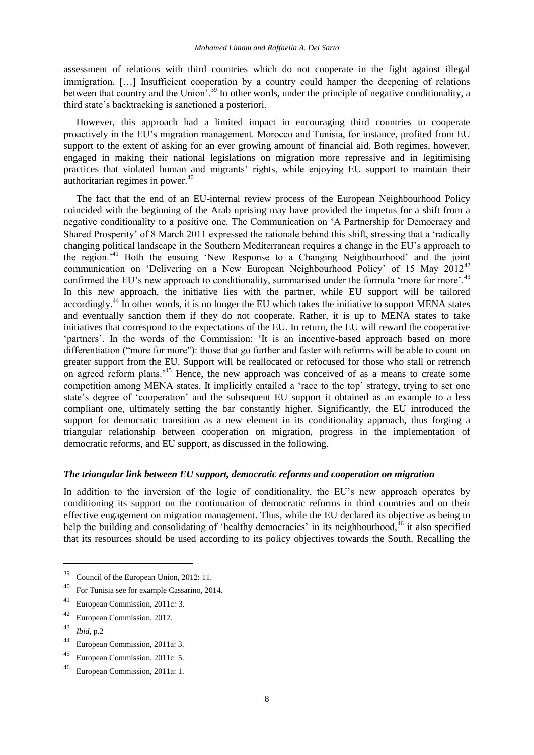assessment of relations with third countries which do not cooperate in the fight against illegal immigration. [...] Insufficient cooperation by a country could hamper the deepening of relations between that country and the Union<sup>5</sup><sup>39</sup> In other words, under the principle of negative conditionality, a third state's backtracking is sanctioned a posteriori.

However, this approach had a limited impact in encouraging third countries to cooperate proactively in the EU's migration management. Morocco and Tunisia, for instance, profited from EU support to the extent of asking for an ever growing amount of financial aid. Both regimes, however, engaged in making their national legislations on migration more repressive and in legitimising practices that violated human and migrants' rights, while enjoying EU support to maintain their authoritarian regimes in power.<sup>40</sup>

The fact that the end of an EU-internal review process of the European Neighbourhood Policy coincided with the beginning of the Arab uprising may have provided the impetus for a shift from a negative conditionality to a positive one. The Communication on 'A Partnership for Democracy and Shared Prosperity' of 8 March 2011 expressed the rationale behind this shift, stressing that a 'radically changing political landscape in the Southern Mediterranean requires a change in the EU's approach to the region.'<sup>41</sup> Both the ensuing 'New Response to a Changing Neighbourhood' and the joint communication on 'Delivering on a New European Neighbourhood Policy' of 15 May 2012<sup>42</sup> confirmed the EU's new approach to conditionality, summarised under the formula 'more for more'.<sup>43</sup> In this new approach, the initiative lies with the partner, while EU support will be tailored accordingly.<sup>44</sup> In other words, it is no longer the EU which takes the initiative to support MENA states and eventually sanction them if they do not cooperate. Rather, it is up to MENA states to take initiatives that correspond to the expectations of the EU. In return, the EU will reward the cooperative 'partners'. In the words of the Commission: 'It is an incentive-based approach based on more differentiation ("more for more"): those that go further and faster with reforms will be able to count on greater support from the EU. Support will be reallocated or refocused for those who stall or retrench on agreed reform plans.<sup>45</sup> Hence, the new approach was conceived of as a means to create some competition among MENA states. It implicitly entailed a 'race to the top' strategy, trying to set one state's degree of 'cooperation' and the subsequent EU support it obtained as an example to a less compliant one, ultimately setting the bar constantly higher. Significantly, the EU introduced the support for democratic transition as a new element in its conditionality approach, thus forging a triangular relationship between cooperation on migration, progress in the implementation of democratic reforms, and EU support, as discussed in the following.

#### *The triangular link between EU support, democratic reforms and cooperation on migration*

In addition to the inversion of the logic of conditionality, the EU's new approach operates by conditioning its support on the continuation of democratic reforms in third countries and on their effective engagement on migration management. Thus, while the EU declared its objective as being to help the building and consolidating of 'healthy democracies' in its neighbourhood.<sup> $46$ </sup> it also specified that its resources should be used according to its policy objectives towards the South. Recalling the

<sup>43</sup> *Ibid*, p.2

<sup>39</sup> Council of the European Union, 2012: 11.

<sup>40</sup> For Tunisia see for example Cassarino, 2014.

<sup>41</sup> European Commission, 2011c*:* 3.

<sup>42</sup> European Commission, 2012.

<sup>44</sup> European Commission, 2011a: 3.

<sup>45</sup> European Commission, 2011c: 5.

<sup>46</sup> European Commission, 2011a: 1.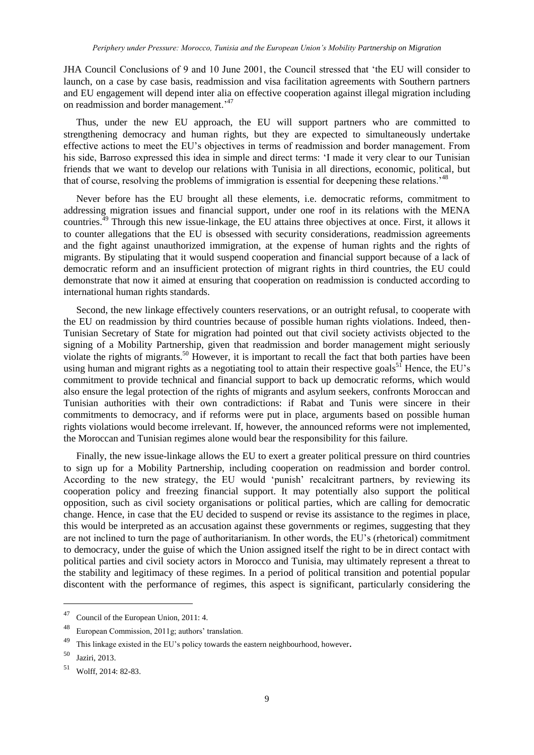JHA Council Conclusions of 9 and 10 June 2001, the Council stressed that 'the EU will consider to launch, on a case by case basis, readmission and visa facilitation agreements with Southern partners and EU engagement will depend inter alia on effective cooperation against illegal migration including on readmission and border management.'<sup>47</sup>

Thus, under the new EU approach, the EU will support partners who are committed to strengthening democracy and human rights, but they are expected to simultaneously undertake effective actions to meet the EU's objectives in terms of readmission and border management. From his side, Barroso expressed this idea in simple and direct terms: 'I made it very clear to our Tunisian friends that we want to develop our relations with Tunisia in all directions, economic, political, but that of course, resolving the problems of immigration is essential for deepening these relations.'<sup>48</sup>

Never before has the EU brought all these elements, i.e. democratic reforms, commitment to addressing migration issues and financial support, under one roof in its relations with the MENA countries.<sup>49</sup> Through this new issue-linkage, the EU attains three objectives at once. First, it allows it to counter allegations that the EU is obsessed with security considerations, readmission agreements and the fight against unauthorized immigration, at the expense of human rights and the rights of migrants. By stipulating that it would suspend cooperation and financial support because of a lack of democratic reform and an insufficient protection of migrant rights in third countries, the EU could demonstrate that now it aimed at ensuring that cooperation on readmission is conducted according to international human rights standards.

Second, the new linkage effectively counters reservations, or an outright refusal, to cooperate with the EU on readmission by third countries because of possible human rights violations. Indeed, then-Tunisian Secretary of State for migration had pointed out that civil society activists objected to the signing of a Mobility Partnership, given that readmission and border management might seriously violate the rights of migrants.<sup>50</sup> However, it is important to recall the fact that both parties have been using human and migrant rights as a negotiating tool to attain their respective goals<sup>51</sup> Hence, the EU's commitment to provide technical and financial support to back up democratic reforms, which would also ensure the legal protection of the rights of migrants and asylum seekers, confronts Moroccan and Tunisian authorities with their own contradictions: if Rabat and Tunis were sincere in their commitments to democracy, and if reforms were put in place, arguments based on possible human rights violations would become irrelevant. If, however, the announced reforms were not implemented, the Moroccan and Tunisian regimes alone would bear the responsibility for this failure.

Finally, the new issue-linkage allows the EU to exert a greater political pressure on third countries to sign up for a Mobility Partnership, including cooperation on readmission and border control. According to the new strategy, the EU would 'punish' recalcitrant partners, by reviewing its cooperation policy and freezing financial support. It may potentially also support the political opposition, such as civil society organisations or political parties, which are calling for democratic change. Hence, in case that the EU decided to suspend or revise its assistance to the regimes in place, this would be interpreted as an accusation against these governments or regimes, suggesting that they are not inclined to turn the page of authoritarianism. In other words, the EU's (rhetorical) commitment to democracy, under the guise of which the Union assigned itself the right to be in direct contact with political parties and civil society actors in Morocco and Tunisia, may ultimately represent a threat to the stability and legitimacy of these regimes. In a period of political transition and potential popular discontent with the performance of regimes, this aspect is significant, particularly considering the

<sup>47</sup> Council of the European Union, 2011: 4.

<sup>48</sup> European Commission, 2011g; authors' translation.

 $49$  This linkage existed in the EU's policy towards the eastern neighbourhood, however.

<sup>50</sup> Jaziri, 2013.

<sup>51</sup> Wolff, 2014: 82-83.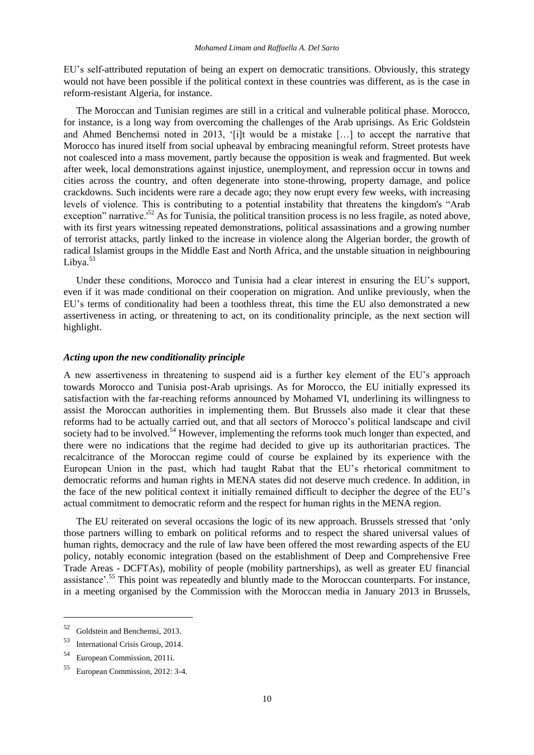EU's self-attributed reputation of being an expert on democratic transitions. Obviously, this strategy would not have been possible if the political context in these countries was different, as is the case in reform-resistant Algeria, for instance.

The Moroccan and Tunisian regimes are still in a critical and vulnerable political phase. Morocco, for instance, is a long way from overcoming the challenges of the Arab uprisings. As Eric Goldstein and Ahmed Benchemsi noted in 2013, '[i]t would be a mistake [...] to accept the narrative that Morocco has inured itself from social upheaval by embracing meaningful reform. Street protests have not coalesced into a mass movement, partly because the opposition is weak and fragmented. But week after week, local demonstrations against injustice, unemployment, and repression occur in towns and cities across the country, and often degenerate into stone-throwing, property damage, and police crackdowns. Such incidents were rare a decade ago; they now erupt every few weeks, with increasing levels of violence. This is contributing to a potential instability that threatens the kingdom's "Arab exception" narrative.<sup>52</sup> As for Tunisia, the political transition process is no less fragile, as noted above, with its first years witnessing repeated demonstrations, political assassinations and a growing number of terrorist attacks, partly linked to the increase in violence along the Algerian border, the growth of radical Islamist groups in the Middle East and North Africa, and the unstable situation in neighbouring Libya. $53$ 

Under these conditions, Morocco and Tunisia had a clear interest in ensuring the EU's support, even if it was made conditional on their cooperation on migration. And unlike previously, when the EU's terms of conditionality had been a toothless threat, this time the EU also demonstrated a new assertiveness in acting, or threatening to act, on its conditionality principle, as the next section will highlight.

#### *Acting upon the new conditionality principle*

A new assertiveness in threatening to suspend aid is a further key element of the EU's approach towards Morocco and Tunisia post-Arab uprisings. As for Morocco, the EU initially expressed its satisfaction with the far-reaching reforms announced by Mohamed VI, underlining its willingness to assist the Moroccan authorities in implementing them. But Brussels also made it clear that these reforms had to be actually carried out, and that all sectors of Morocco's political landscape and civil society had to be involved.<sup>54</sup> However, implementing the reforms took much longer than expected, and there were no indications that the regime had decided to give up its authoritarian practices. The recalcitrance of the Moroccan regime could of course be explained by its experience with the European Union in the past, which had taught Rabat that the EU's rhetorical commitment to democratic reforms and human rights in MENA states did not deserve much credence. In addition, in the face of the new political context it initially remained difficult to decipher the degree of the EU's actual commitment to democratic reform and the respect for human rights in the MENA region.

The EU reiterated on several occasions the logic of its new approach. Brussels stressed that 'only those partners willing to embark on political reforms and to respect the shared universal values of human rights, democracy and the rule of law have been offered the most rewarding aspects of the EU policy, notably economic integration (based on the establishment of Deep and Comprehensive Free Trade Areas - DCFTAs), mobility of people (mobility partnerships), as well as greater EU financial assistance'.<sup>55</sup> This point was repeatedly and bluntly made to the Moroccan counterparts. For instance, in a meeting organised by the Commission with the Moroccan media in January 2013 in Brussels,

<sup>52</sup> Goldstein and Benchemsi, 2013.

<sup>53</sup> International Crisis Group, 2014.

<sup>54</sup> European Commission, 2011i.

<sup>55</sup> European Commission, 2012: 3-4.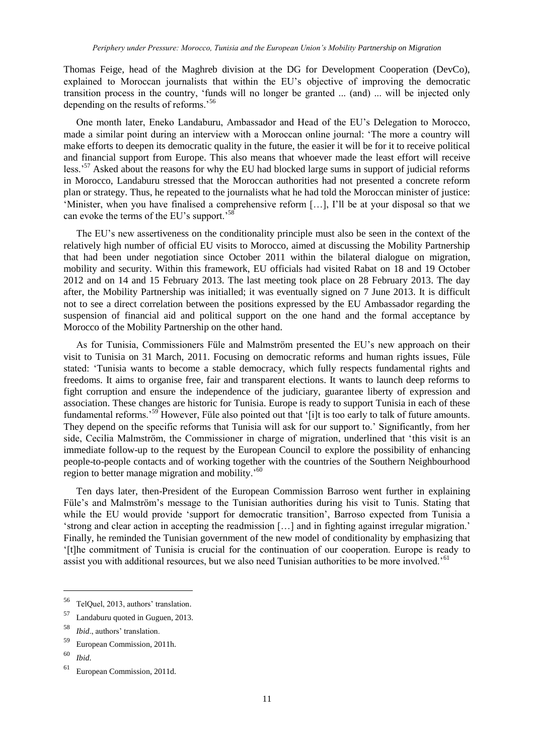Thomas Feige, head of the Maghreb division at the DG for Development Cooperation (DevCo), explained to Moroccan journalists that within the EU's objective of improving the democratic transition process in the country, 'funds will no longer be granted ... (and) ... will be injected only depending on the results of reforms.'<sup>56</sup>

One month later, Eneko Landaburu, Ambassador and Head of the EU's Delegation to Morocco, made a similar point during an interview with a Moroccan online journal: 'The more a country will make efforts to deepen its democratic quality in the future, the easier it will be for it to receive political and financial support from Europe. This also means that whoever made the least effort will receive less.<sup>'57</sup> Asked about the reasons for why the EU had blocked large sums in support of judicial reforms in Morocco, Landaburu stressed that the Moroccan authorities had not presented a concrete reform plan or strategy. Thus, he repeated to the journalists what he had told the Moroccan minister of justice: 'Minister, when you have finalised a comprehensive reform […], I'll be at your disposal so that we can evoke the terms of the EU's support.<sup>58</sup>

The EU's new assertiveness on the conditionality principle must also be seen in the context of the relatively high number of official EU visits to Morocco, aimed at discussing the Mobility Partnership that had been under negotiation since October 2011 within the bilateral dialogue on migration, mobility and security. Within this framework, EU officials had visited Rabat on 18 and 19 October 2012 and on 14 and 15 February 2013. The last meeting took place on 28 February 2013. The day after, the Mobility Partnership was initialled; it was eventually signed on 7 June 2013. It is difficult not to see a direct correlation between the positions expressed by the EU Ambassador regarding the suspension of financial aid and political support on the one hand and the formal acceptance by Morocco of the Mobility Partnership on the other hand.

As for Tunisia, Commissioners Füle and Malmström presented the EU's new approach on their visit to Tunisia on 31 March, 2011. Focusing on democratic reforms and human rights issues, Füle stated: 'Tunisia wants to become a stable democracy, which fully respects fundamental rights and freedoms. It aims to organise free, fair and transparent elections. It wants to launch deep reforms to fight corruption and ensure the independence of the judiciary, guarantee liberty of expression and association. These changes are historic for Tunisia. Europe is ready to support Tunisia in each of these fundamental reforms.<sup>59</sup> However, Füle also pointed out that '[i]t is too early to talk of future amounts. They depend on the specific reforms that Tunisia will ask for our support to.' Significantly, from her side, Cecilia Malmström, the Commissioner in charge of migration, underlined that 'this visit is an immediate follow-up to the request by the European Council to explore the possibility of enhancing people-to-people contacts and of working together with the countries of the Southern Neighbourhood region to better manage migration and mobility.<sup>50</sup>

Ten days later, then-President of the European Commission Barroso went further in explaining Füle's and Malmström's message to the Tunisian authorities during his visit to Tunis. Stating that while the EU would provide 'support for democratic transition', Barroso expected from Tunisia a 'strong and clear action in accepting the readmission […] and in fighting against irregular migration.' Finally, he reminded the Tunisian government of the new model of conditionality by emphasizing that '[t]he commitment of Tunisia is crucial for the continuation of our cooperation. Europe is ready to assist you with additional resources, but we also need Tunisian authorities to be more involved.'<sup>61</sup>

<sup>56</sup> TelQuel, 2013, authors' translation.

<sup>57</sup> Landaburu quoted in Guguen, 2013.

<sup>58</sup> *Ibid*., authors' translation.

<sup>59</sup> European Commission, 2011h.

<sup>60</sup> *Ibid*.

<sup>61</sup> European Commission, 2011d.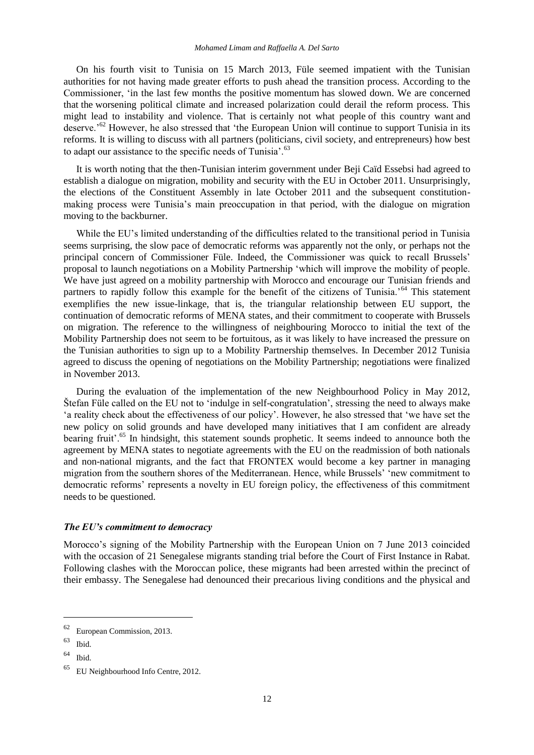On his fourth visit to Tunisia on 15 March 2013, Füle seemed impatient with the Tunisian authorities for not having made greater efforts to push ahead the transition process. According to the Commissioner, 'in the last few months the positive momentum has slowed down. We are concerned that the worsening political climate and increased polarization could derail the reform process. This might lead to instability and violence. That is certainly not what people of this country want and deserve.'<sup>62</sup> However, he also stressed that 'the European Union will continue to support Tunisia in its reforms. It is willing to discuss with all partners (politicians, civil society, and entrepreneurs) how best to adapt our assistance to the specific needs of Tunisia'.<sup>63</sup>

It is worth noting that the then-Tunisian interim government under Beji Caïd Essebsi had agreed to establish a dialogue on migration, mobility and security with the EU in October 2011. Unsurprisingly, the elections of the Constituent Assembly in late October 2011 and the subsequent constitutionmaking process were Tunisia's main preoccupation in that period, with the dialogue on migration moving to the backburner.

While the EU's limited understanding of the difficulties related to the transitional period in Tunisia seems surprising, the slow pace of democratic reforms was apparently not the only, or perhaps not the principal concern of Commissioner Füle. Indeed, the Commissioner was quick to recall Brussels' proposal to launch negotiations on a Mobility Partnership 'which will improve the mobility of people. We have just agreed on a mobility partnership with Morocco and encourage our Tunisian friends and partners to rapidly follow this example for the benefit of the citizens of Tunisia.<sup>564</sup> This statement exemplifies the new issue-linkage, that is, the triangular relationship between EU support, the continuation of democratic reforms of MENA states, and their commitment to cooperate with Brussels on migration. The reference to the willingness of neighbouring Morocco to initial the text of the Mobility Partnership does not seem to be fortuitous, as it was likely to have increased the pressure on the Tunisian authorities to sign up to a Mobility Partnership themselves. In December 2012 Tunisia agreed to discuss the opening of negotiations on the Mobility Partnership; negotiations were finalized in November 2013.

During the evaluation of the implementation of the new Neighbourhood Policy in May 2012, Štefan Füle called on the EU not to 'indulge in self-congratulation', stressing the need to always make 'a reality check about the effectiveness of our policy'. However, he also stressed that 'we have set the new policy on solid grounds and have developed many initiatives that I am confident are already bearing fruit'.<sup>65</sup> In hindsight, this statement sounds prophetic. It seems indeed to announce both the agreement by MENA states to negotiate agreements with the EU on the readmission of both nationals and non-national migrants, and the fact that FRONTEX would become a key partner in managing migration from the southern shores of the Mediterranean. Hence, while Brussels' 'new commitment to democratic reforms' represents a novelty in EU foreign policy, the effectiveness of this commitment needs to be questioned.

#### *The EU's commitment to democracy*

Morocco's signing of the Mobility Partnership with the European Union on 7 June 2013 coincided with the occasion of 21 Senegalese migrants standing trial before the Court of First Instance in Rabat. Following clashes with the Moroccan police, these migrants had been arrested within the precinct of their embassy. The Senegalese had denounced their precarious living conditions and the physical and

<sup>62</sup> European Commission, 2013.

 $63$  Ibid.

 $64$  Ibid.

<sup>65</sup> EU Neighbourhood Info Centre, 2012.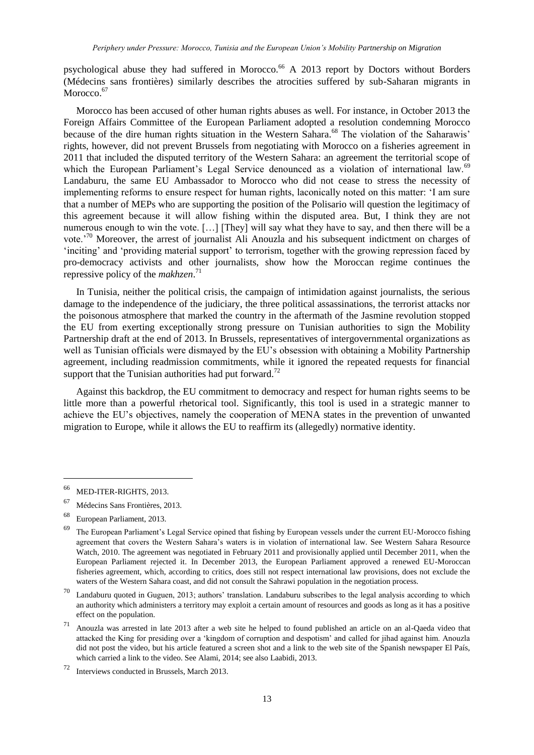psychological abuse they had suffered in Morocco.<sup>66</sup> A 2013 report by Doctors without Borders (Médecins sans frontières) similarly describes the atrocities suffered by sub-Saharan migrants in Morocco.<sup>67</sup>

Morocco has been accused of other human rights abuses as well. For instance, in October 2013 the Foreign Affairs Committee of the European Parliament adopted a resolution condemning Morocco because of the dire human rights situation in the Western Sahara.<sup>68</sup> The violation of the Saharawis' rights, however, did not prevent Brussels from negotiating with Morocco on a fisheries agreement in 2011 that included the disputed territory of the Western Sahara: an agreement the territorial scope of which the European Parliament's Legal Service denounced as a violation of international law.<sup>69</sup> Landaburu, the same EU Ambassador to Morocco who did not cease to stress the necessity of implementing reforms to ensure respect for human rights, laconically noted on this matter: 'I am sure that a number of MEPs who are supporting the position of the Polisario will question the legitimacy of this agreement because it will allow fishing within the disputed area. But, I think they are not numerous enough to win the vote. [...] [They] will say what they have to say, and then there will be a vote.'<sup>70</sup> Moreover, the arrest of journalist Ali Anouzla and his subsequent indictment on charges of 'inciting' and 'providing material support' to terrorism, together with the growing repression faced by pro-democracy activists and other journalists, show how the Moroccan regime continues the repressive policy of the *makhzen*. 71

In Tunisia, neither the political crisis, the campaign of intimidation against journalists, the serious damage to the independence of the judiciary, the three political assassinations, the terrorist attacks nor the poisonous atmosphere that marked the country in the aftermath of the Jasmine revolution stopped the EU from exerting exceptionally strong pressure on Tunisian authorities to sign the Mobility Partnership draft at the end of 2013. In Brussels, representatives of intergovernmental organizations as well as Tunisian officials were dismayed by the EU's obsession with obtaining a Mobility Partnership agreement, including readmission commitments, while it ignored the repeated requests for financial support that the Tunisian authorities had put forward.<sup>72</sup>

Against this backdrop, the EU commitment to democracy and respect for human rights seems to be little more than a powerful rhetorical tool. Significantly, this tool is used in a strategic manner to achieve the EU's objectives, namely the cooperation of MENA states in the prevention of unwanted migration to Europe, while it allows the EU to reaffirm its (allegedly) normative identity.

 $\overline{a}$ 

<sup>66</sup> MED-ITER-RIGHTS, 2013.

<sup>67</sup> Médecins Sans Frontières, 2013.

European Parliament, 2013.

<sup>&</sup>lt;sup>69</sup> The European Parliament's Legal Service opined that fishing by European vessels under the current EU-Morocco fishing agreement that covers the Western Sahara's waters is in violation of international law. See Western Sahara Resource Watch, 2010. The agreement was negotiated in February 2011 and provisionally applied until December 2011, when the European Parliament rejected it. In December 2013, the European Parliament approved a renewed EU-Moroccan fisheries agreement, which, according to critics, does still not respect international law provisions, does not exclude the waters of the Western Sahara coast, and did not consult the Sahrawi population in the negotiation process.

 $70$  Landaburu quoted in Guguen, 2013; authors' translation. Landaburu subscribes to the legal analysis according to which an authority which administers a territory may exploit a certain amount of resources and goods as long as it has a positive effect on the population.

<sup>71</sup> Anouzla was arrested in late 2013 after a web site he helped to found published an article on an al-Qaeda video that attacked the King for presiding over a 'kingdom of corruption and despotism' and called for jihad against him. Anouzla did not post the video, but his article featured a screen shot and a link to the web site of the Spanish newspaper El País, which carried a link to the video. See Alami, 2014; see also Laabidi, 2013.

<sup>72</sup> Interviews conducted in Brussels, March 2013.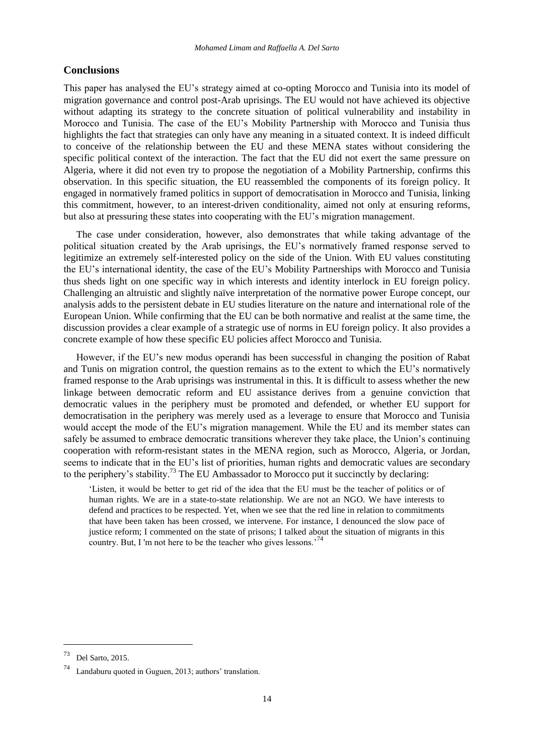#### **Conclusions**

This paper has analysed the EU's strategy aimed at co-opting Morocco and Tunisia into its model of migration governance and control post-Arab uprisings. The EU would not have achieved its objective without adapting its strategy to the concrete situation of political vulnerability and instability in Morocco and Tunisia. The case of the EU's Mobility Partnership with Morocco and Tunisia thus highlights the fact that strategies can only have any meaning in a situated context. It is indeed difficult to conceive of the relationship between the EU and these MENA states without considering the specific political context of the interaction. The fact that the EU did not exert the same pressure on Algeria, where it did not even try to propose the negotiation of a Mobility Partnership, confirms this observation. In this specific situation, the EU reassembled the components of its foreign policy. It engaged in normatively framed politics in support of democratisation in Morocco and Tunisia, linking this commitment, however, to an interest-driven conditionality, aimed not only at ensuring reforms, but also at pressuring these states into cooperating with the EU's migration management.

The case under consideration, however, also demonstrates that while taking advantage of the political situation created by the Arab uprisings, the EU's normatively framed response served to legitimize an extremely self-interested policy on the side of the Union. With EU values constituting the EU's international identity, the case of the EU's Mobility Partnerships with Morocco and Tunisia thus sheds light on one specific way in which interests and identity interlock in EU foreign policy. Challenging an altruistic and slightly naïve interpretation of the normative power Europe concept, our analysis adds to the persistent debate in EU studies literature on the nature and international role of the European Union. While confirming that the EU can be both normative and realist at the same time, the discussion provides a clear example of a strategic use of norms in EU foreign policy. It also provides a concrete example of how these specific EU policies affect Morocco and Tunisia.

However, if the EU's new modus operandi has been successful in changing the position of Rabat and Tunis on migration control, the question remains as to the extent to which the EU's normatively framed response to the Arab uprisings was instrumental in this. It is difficult to assess whether the new linkage between democratic reform and EU assistance derives from a genuine conviction that democratic values in the periphery must be promoted and defended, or whether EU support for democratisation in the periphery was merely used as a leverage to ensure that Morocco and Tunisia would accept the mode of the EU's migration management. While the EU and its member states can safely be assumed to embrace democratic transitions wherever they take place, the Union's continuing cooperation with reform-resistant states in the MENA region, such as Morocco, Algeria, or Jordan, seems to indicate that in the EU's list of priorities, human rights and democratic values are secondary to the periphery's stability.<sup>73</sup> The EU Ambassador to Morocco put it succinctly by declaring:

'Listen, it would be better to get rid of the idea that the EU must be the teacher of politics or of human rights. We are in a state-to-state relationship. We are not an NGO. We have interests to defend and practices to be respected. Yet, when we see that the red line in relation to commitments that have been taken has been crossed, we intervene. For instance, I denounced the slow pace of justice reform; I commented on the state of prisons; I talked about the situation of migrants in this country. But, I'm not here to be the teacher who gives lessons.<sup>74</sup>

<sup>73</sup> Del Sarto, 2015.

Landaburu quoted in Guguen, 2013; authors' translation.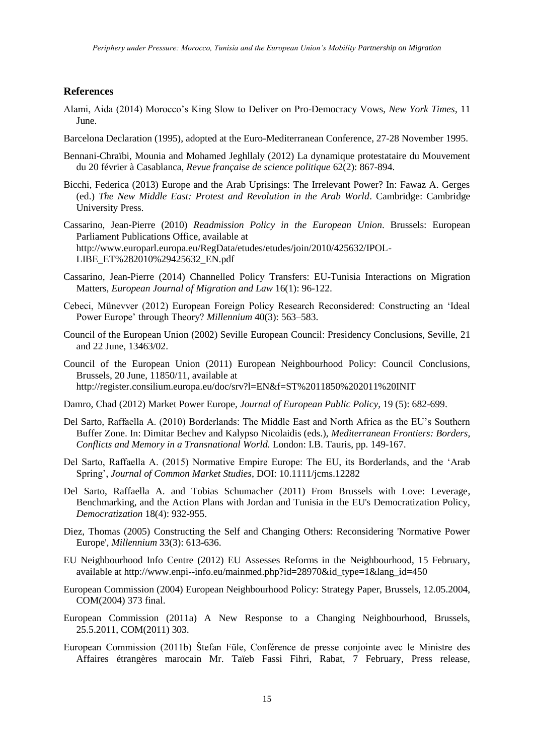#### **References**

- Alami, Aida (2014) Morocco's King Slow to Deliver on Pro-Democracy Vows, *New York Times*, 11 June.
- Barcelona Declaration (1995), adopted at the Euro-Mediterranean Conference, 27-28 November 1995.
- Bennani-Chraïbi, Mounia and Mohamed Jeghllaly (2012) La dynamique protestataire du Mouvement du 20 février à Casablanca, *Revue française de science politique* 62(2): 867-894.
- Bicchi, Federica (2013) Europe and the Arab Uprisings: The Irrelevant Power? In: Fawaz A. Gerges (ed.) *The New Middle East: Protest and Revolution in the Arab World*. Cambridge: Cambridge University Press.
- Cassarino, Jean-Pierre (2010) *Readmission Policy in the European Union*. Brussels: European Parliament Publications Office, available at [http://www.europarl.europa.eu/RegData/etudes/etudes/join/2010/425632/IPOL-](http://www.europarl.europa.eu/RegData/etudes/etudes/join/2010/425632/IPOL-LIBE_ET%282010%29425632_EN.pdf)[LIBE\\_ET%282010%29425632\\_EN.pdf](http://www.europarl.europa.eu/RegData/etudes/etudes/join/2010/425632/IPOL-LIBE_ET%282010%29425632_EN.pdf)
- Cassarino, Jean-Pierre (2014) Channelled Policy Transfers: EU-Tunisia Interactions on Migration Matters, *European Journal of Migration and Law* 16(1): 96-122.
- Cebeci, Münevver (2012) European Foreign Policy Research Reconsidered: Constructing an 'Ideal Power Europe' through Theory? *Millennium* 40(3): 563–583.
- Council of the European Union (2002) Seville European Council: Presidency Conclusions, Seville, 21 and 22 June, 13463/02.
- Council of the European Union (2011) European Neighbourhood Policy: Council Conclusions, Brussels, 20 June, 11850/11, available at <http://register.consilium.europa.eu/doc/srv?l=EN&f=ST%2011850%202011%20INIT>
- Damro, Chad (2012) Market Power Europe, *Journal of European Public Policy*, [19](http://www.tandfonline.com/loi/rjpp20?open=19#vol_19) (5): 682-699.
- Del Sarto, Raffaella A. (2010) Borderlands: The Middle East and North Africa as the EU's Southern Buffer Zone. In: Dimitar Bechev and Kalypso Nicolaidis (eds.), *Mediterranean Frontiers: Borders, Conflicts and Memory in a Transnational World.* London: I.B. Tauris, pp. 149-167.
- Del Sarto, Raffaella A. (2015) Normative Empire Europe: The EU, its Borderlands, and the 'Arab Spring', *Journal of Common Market Studies*, DOI: 10.1111/jcms.12282
- Del Sarto, Raffaella A. and Tobias Schumacher (2011) From Brussels with Love: Leverage, Benchmarking, and the Action Plans with Jordan and Tunisia in the EU's Democratization Policy, *Democratization* 18(4): 932-955.
- Diez, Thomas (2005) Constructing the Self and Changing Others: Reconsidering 'Normative Power Europe', *Millennium* 33(3): 613-636.
- EU Neighbourhood Info Centre (2012) EU Assesses Reforms in the Neighbourhood, 15 February, available at [http://www.enpi--info.eu/mainmed.php?id=28970&id\\_type=1&lang\\_id=450](http://www.enpi-info.eu/mainmed.php?id=28970&id_type=1&lang_id=450)
- European Commission (2004) European Neighbourhood Policy: Strategy Paper, Brussels, 12.05.2004, COM(2004) 373 final.
- European Commission (2011a) A New Response to a Changing Neighbourhood, Brussels, 25.5.2011, COM(2011) 303.
- European Commission (2011b) Štefan Füle, Conférence de presse conjointe avec le Ministre des Affaires étrangères marocain Mr. Taïeb Fassi Fihri, Rabat, 7 February, Press release,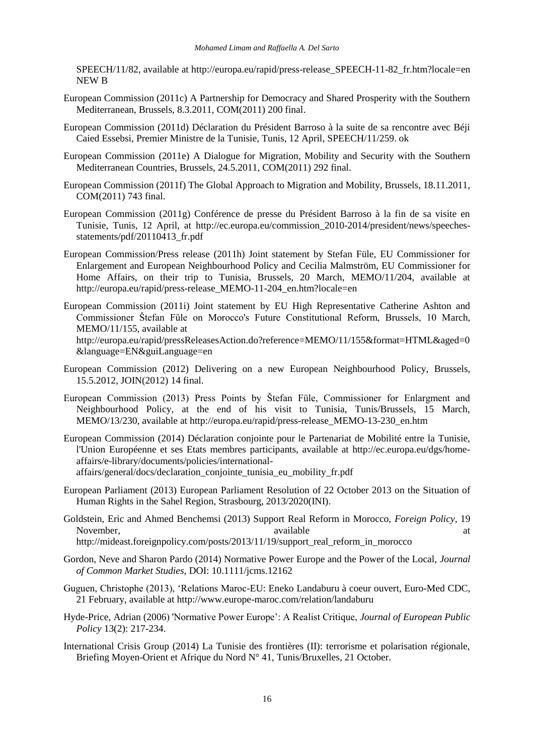SPEECH/11/82, available at [http://europa.eu/rapid/press-release\\_SPEECH-11-82\\_fr.htm?locale=en](http://europa.eu/rapid/press-release_SPEECH-11-82_fr.htm?locale=en) NEW B

- European Commission (2011c) A Partnership for Democracy and Shared Prosperity with the Southern Mediterranean, Brussels, 8.3.2011, COM(2011) 200 final.
- European Commission (2011d) Déclaration du Président Barroso à la suite de sa rencontre avec Béji Caied Essebsi, Premier Ministre de la Tunisie, Tunis, 12 April, SPEECH/11/259. ok
- European Commission (2011e) A Dialogue for Migration, Mobility and Security with the Southern Mediterranean Countries, Brussels, 24.5.2011, COM(2011) 292 final.
- European Commission (2011f) The Global Approach to Migration and Mobility, Brussels, 18.11.2011, COM(2011) 743 final.
- European Commission (2011g) Conférence de presse du Président Barroso à la fin de sa visite en Tunisie, Tunis, 12 April, at [http://ec.europa.eu/commission\\_2010-2014/president/news/speeches](http://ec.europa.eu/commission_2010-2014/president/news/speeches-statements/pdf/20110413_fr.pdf)[statements/pdf/20110413\\_fr.pdf](http://ec.europa.eu/commission_2010-2014/president/news/speeches-statements/pdf/20110413_fr.pdf)
- European Commission/Press release (2011h) Joint statement by Stefan Füle, EU Commissioner for Enlargement and European Neighbourhood Policy and Cecilia Malmström, EU Commissioner for Home Affairs, on their trip to Tunisia, Brussels, 20 March, MEMO/11/204, available at [http://europa.eu/rapid/press-release\\_MEMO-11-204\\_en.htm?locale=en](http://europa.eu/rapid/press-release_MEMO-11-204_en.htm?locale=en)
- European Commission (2011i) Joint statement by EU High Representative Catherine Ashton and Commissioner Štefan Füle on Morocco's Future Constitutional Reform, Brussels, 10 March, MEMO/11/155, available at [http://europa.eu/rapid/pressReleasesAction.do?reference=MEMO/11/155&format=HTML&aged=0](http://europa.eu/rapid/pressReleasesAction.do?reference=MEMO/11/155&format=HTML&aged=0&language=EN&guiLanguage=en) [&language=EN&guiLanguage=en](http://europa.eu/rapid/pressReleasesAction.do?reference=MEMO/11/155&format=HTML&aged=0&language=EN&guiLanguage=en)
- European Commission (2012) Delivering on a new European Neighbourhood Policy, Brussels, 15.5.2012, JOIN(2012) 14 final.
- European Commission (2013) Press Points by Štefan Füle, Commissioner for Enlargment and Neighbourhood Policy, at the end of his visit to Tunisia, Tunis/Brussels, 15 March, MEMO/13/230, available at [http://europa.eu/rapid/press-release\\_MEMO-13-230\\_en.htm](http://europa.eu/rapid/press-release_MEMO-13-230_en.htm)
- European Commission (2014) Déclaration conjointe pour le Partenariat de Mobilité entre la Tunisie, l'Union Européenne et ses Etats membres participants, available at [http://ec.europa.eu/dgs/home](http://ec.europa.eu/dgs/home-affairs/e-library/documents/policies/international-affairs/general/docs/declaration_conjointe_tunisia_eu_mobility_fr.pdf)[affairs/e-library/documents/policies/international](http://ec.europa.eu/dgs/home-affairs/e-library/documents/policies/international-affairs/general/docs/declaration_conjointe_tunisia_eu_mobility_fr.pdf)[affairs/general/docs/declaration\\_conjointe\\_tunisia\\_eu\\_mobility\\_fr.pdf](http://ec.europa.eu/dgs/home-affairs/e-library/documents/policies/international-affairs/general/docs/declaration_conjointe_tunisia_eu_mobility_fr.pdf)
- European Parliament (2013) European Parliament Resolution of 22 October 2013 on the Situation of Human Rights in the Sahel Region, Strasbourg, 2013/2020(INI).
- Goldstein, Eric and Ahmed Benchemsi (2013) Support Real Reform in Morocco, *Foreign Policy*, 19 November, available available at the set of the set of the set of the set of the set of the set of the set of the set of the set of the set of the set of the set of the set of the set of the set of the set of the set of th [http://mideast.foreignpolicy.com/posts/2013/11/19/support\\_real\\_reform\\_in\\_morocco](http://mideast.foreignpolicy.com/posts/2013/11/19/support_real_reform_in_morocco)
- Gordon, Neve and Sharon Pardo (2014) Normative Power Europe and the Power of the Local, *Journal*
- *of Common Market Studies*, DOI: 10.1111/jcms.12162
- Guguen, Christophe (2013), 'Relations Maroc-EU: Eneko Landaburu à coeur ouvert, Euro-Med CDC, 21 February, available at<http://www.europe-maroc.com/relation/landaburu>
- Hyde-Price, Adrian (2006) 'Normative Power Europe': A Realist Critique, *Journal of European Public Policy* 13(2): 217-234.
- International Crisis Group (2014) La Tunisie des frontières (II): terrorisme et polarisation régionale, Briefing Moyen-Orient et Afrique du Nord N° 41, Tunis/Bruxelles, 21 October.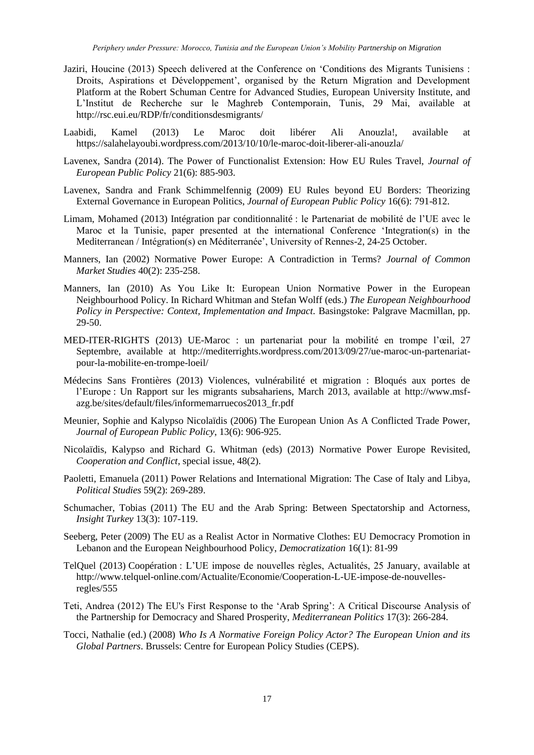- Jaziri, Houcine (2013) Speech delivered at the Conference on 'Conditions des Migrants Tunisiens : Droits, Aspirations et Développement', organised by the Return Migration and Development Platform at the Robert Schuman Centre for Advanced Studies, European University Institute, and L'Institut de Recherche sur le Maghreb Contemporain, Tunis, 29 Mai, available at <http://rsc.eui.eu/RDP/fr/conditionsdesmigrants/>
- Laabidi, Kamel (2013) Le Maroc doit libérer Ali Anouzla!, available at <https://salahelayoubi.wordpress.com/2013/10/10/le-maroc-doit-liberer-ali-anouzla/>
- Lavenex, Sandra (2014). The Power of Functionalist Extension: How EU Rules Travel, *Journal of European Public Policy* 21(6): 885-903.
- Lavenex, Sandra and Frank Schimmelfennig (2009) EU Rules beyond EU Borders: Theorizing External Governance in European Politics, *Journal of European Public Policy* 16(6): 791-812.
- Limam, Mohamed (2013) Intégration par conditionnalité : le Partenariat de mobilité de l'UE avec le Maroc et la Tunisie, paper presented at the international Conference 'Integration(s) in the Mediterranean / Intégration(s) en Méditerranée', University of Rennes-2, 24-25 October.
- Manners, Ian (2002) Normative Power Europe: A Contradiction in Terms? *Journal of Common Market Studies* 40(2): 235-258.
- Manners, Ian (2010) As You Like It: European Union Normative Power in the European Neighbourhood Policy. In Richard Whitman and Stefan Wolff (eds.) *The European Neighbourhood Policy in Perspective: Context, Implementation and Impact.* Basingstoke: Palgrave Macmillan, pp. 29-50.
- MED-ITER-RIGHTS (2013) UE-Maroc : un partenariat pour la mobilité en trompe l'œil, 27 Septembre, available at [http://mediterrights.wordpress.com/2013/09/27/ue-maroc-un-partenariat](http://mediterrights.wordpress.com/2013/09/27/ue-maroc-un-partenariat-pour-la-mobilite-en-trompe-loeil/)[pour-la-mobilite-en-trompe-loeil/](http://mediterrights.wordpress.com/2013/09/27/ue-maroc-un-partenariat-pour-la-mobilite-en-trompe-loeil/)
- Médecins Sans Frontières (2013) Violences, vulnérabilité et migration : Bloqués aux portes de l'Europe : Un Rapport sur les migrants subsahariens, March 2013, available at [http://www.msf](http://www.msf-azg.be/sites/default/files/informemarruecos2013_fr.pdf)[azg.be/sites/default/files/informemarruecos2013\\_fr.pdf](http://www.msf-azg.be/sites/default/files/informemarruecos2013_fr.pdf)
- Meunier, Sophie and Kalypso Nicolaïdis (2006) The European Union As A Conflicted Trade Power, *Journal of European Public Policy*, 13(6): 906-925.
- Nicolaïdis, Kalypso and Richard G. Whitman (eds) (2013) Normative Power Europe Revisited, *Cooperation and Conflict*, special issue, 48(2).
- Paoletti, Emanuela (2011) Power Relations and International Migration: The Case of Italy and Libya, *Political Studies* 59(2): 269-289.
- Schumacher, Tobias (2011) The EU and the Arab Spring: Between Spectatorship and Actorness, *Insight Turkey* 13(3): 107-119.
- Seeberg, Peter (2009) The EU as a Realist Actor in Normative Clothes: EU Democracy Promotion in Lebanon and the European Neighbourhood Policy, *Democratization* 16(1): 81-99
- TelQuel (2013) Coopération : L'UE impose de nouvelles règles, Actualités, 25 January, available at [http://www.telquel-online.com/Actualite/Economie/Cooperation-L-UE-impose-de-nouvelles](http://www.telquel-online.com/Actualite/Economie/Cooperation-L-UE-impose-de-nouvelles-regles/555)[regles/555](http://www.telquel-online.com/Actualite/Economie/Cooperation-L-UE-impose-de-nouvelles-regles/555)
- Teti, Andrea (2012) The EU's First Response to the 'Arab Spring': A Critical Discourse Analysis of the Partnership for Democracy and Shared Prosperity, *Mediterranean Politics* 17(3): 266-284.
- Tocci, Nathalie (ed.) (2008) *Who Is A Normative Foreign Policy Actor? The European Union and its Global Partners*. Brussels: Centre for European Policy Studies (CEPS).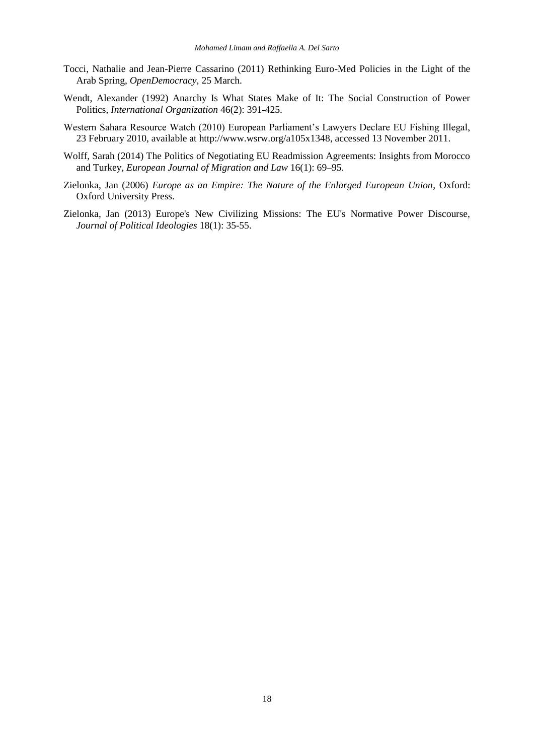- Tocci, Nathalie and Jean-Pierre Cassarino (2011) Rethinking Euro-Med Policies in the Light of the Arab Spring, *OpenDemocracy*, 25 March.
- Wendt, Alexander (1992) Anarchy Is What States Make of It: The Social Construction of Power Politics, *International Organization* 46(2): 391-425.
- Western Sahara Resource Watch (2010) European Parliament's Lawyers Declare EU Fishing Illegal, 23 February 2010, available at [http://www.wsrw.org/a105x1348,](http://www.wsrw.org/a105x1348) accessed 13 November 2011.
- Wolff, Sarah (2014) The Politics of Negotiating EU Readmission Agreements: Insights from Morocco and Turkey, *European Journal of Migration and Law* 16(1): 69–95.
- Zielonka, Jan (2006) *Europe as an Empire: The Nature of the Enlarged European Union*, Oxford: Oxford University Press.
- Zielonka, Jan (2013) Europe's New Civilizing Missions: The EU's Normative Power Discourse, *Journal of Political Ideologies* 18(1): 35-55.